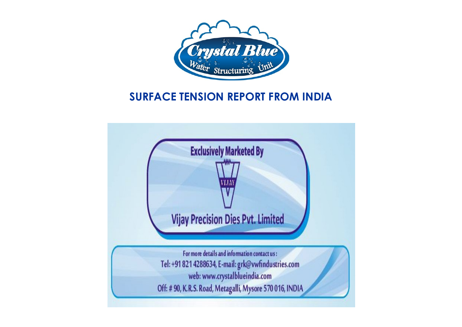

# **SURFACE TENSION REPORT FROM INDIA**

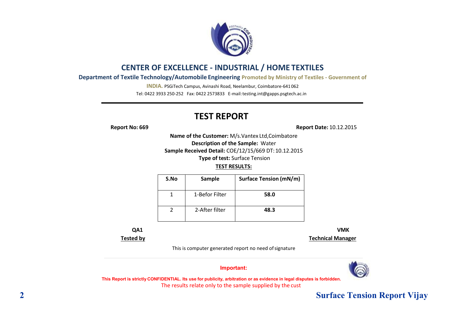

### **CENTER OF EXCELLENCE - INDUSTRIAL / HOME TEXTILES**

**Department of Textile Technology/Automobile Engineering Promoted by Ministry of Textiles - Government of** 

**INDIA.** PSGiTech Campus, Avinashi Road, Neelambur, Coimbatore-641 062 Tel: 0422 3933 250-252 Fax: 0422 2573833 E-ma[il:testing.int@gapps.psgtech.ac.in](mailto:testing.int@gapps.psgtech.ac.in)

# **TEST REPORT**

**Report No: 669 Report Date:** 10.12.2015

**Name of the Customer:** M/s.Vantex Ltd,Coimbatore **Description of the Sample:** Water **Sample Received Detail:** COE/12/15/669 DT:10.12.2015 **Type of test:** Surface Tension

#### **TEST RESULTS:**

| S.No | Sample         | <b>Surface Tension (mN/m)</b> |
|------|----------------|-------------------------------|
|      | 1-Befor Filter | 58.0                          |
|      | 2-After filter | 48.3                          |

**QA1 VMK**

**Tested by Technical Manager**

This is computer generated report no need ofsignature

**Important:**



This Report is strictly CONFIDENTIAL. Its use for publicity, arbitration or as evidence in legal disputes is forbidden. The results relate only to the sample supplied by the cust

## **2 Surface Tension Report Vijay**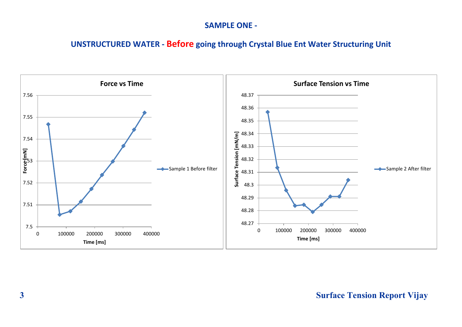### **SAMPLE ONE -**

# **UNSTRUCTURED WATER - Before going through Crystal Blue Ent Water Structuring Unit**

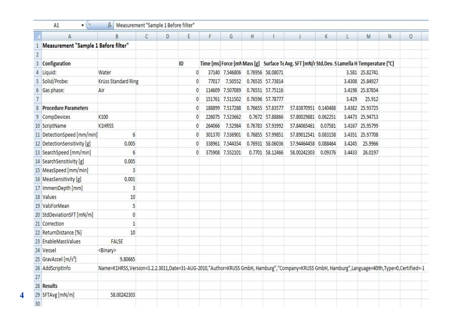|                | A                                    | B                                                                                                                                            | $\mathsf{C}$ | D | E     | F                                                                                            | G               | H                |                  |                      | K       |                 | M               | N | 0 |
|----------------|--------------------------------------|----------------------------------------------------------------------------------------------------------------------------------------------|--------------|---|-------|----------------------------------------------------------------------------------------------|-----------------|------------------|------------------|----------------------|---------|-----------------|-----------------|---|---|
|                | Measurement "Sample 1 Before filter" |                                                                                                                                              |              |   |       |                                                                                              |                 |                  |                  |                      |         |                 |                 |   |   |
| $\overline{2}$ |                                      |                                                                                                                                              |              |   |       |                                                                                              |                 |                  |                  |                      |         |                 |                 |   |   |
| 3              | Configuration                        |                                                                                                                                              |              |   | ID    | Time [ms] Force [mN Mass [g] Surface Te Avg. SFT [mN/r Std.Dev. S Lamella H Temperature [°C] |                 |                  |                  |                      |         |                 |                 |   |   |
|                | Liquid:                              | Water                                                                                                                                        |              |   | 0     |                                                                                              | 37140 7.546806  |                  | 0.76956 58.08071 |                      |         |                 | 3.581 25.82741  |   |   |
| 5              | Solid/Probe:                         | Krüss Standard Ring<br>Air                                                                                                                   |              | 0 | 77017 | 7.50552                                                                                      |                 | 0.76535 57.73814 |                  |                      |         | 3.4308 25.84927 |                 |   |   |
| 6              | Gas phase:                           |                                                                                                                                              |              |   | 0     | 114609                                                                                       | 7.507089        |                  | 0.76551 57.75116 |                      |         |                 | 3.4198 25.87854 |   |   |
| $\overline{7}$ |                                      |                                                                                                                                              |              |   | 0     |                                                                                              | 151761 7.511502 |                  | 0.76596 57.78777 |                      |         | 3.429           | 25.912          |   |   |
| 8              | <b>Procedure Parameters</b>          |                                                                                                                                              |              |   | C     | 188899                                                                                       | 7.517288        |                  | 0.76655 57.83577 | 57.83870951 0.140488 |         |                 | 3.4382 25.93725 |   |   |
| 9              | CompDevices                          | K100                                                                                                                                         |              |   | 0     | 226075                                                                                       | 7.523662        |                  | 0.7672 57.88866  | 57.80029881 0.062251 |         |                 | 3.4473 25.94713 |   |   |
|                | 10 ScriptName                        | <b>K1HRSS</b>                                                                                                                                |              |   | C     | 264066                                                                                       | 7.52984         |                  | 0.76783 57.93992 | 57.84065461          | 0.07581 |                 | 3.4167 25.95799 |   |   |
|                | 11 DetectionSpeed [mm/min]           | 6                                                                                                                                            |              |   | 0     | 301370                                                                                       | 7.536901        |                  | 0.76855 57.99851 | 57.89012541 0.083158 |         |                 | 3.4351 25.97708 |   |   |
|                | 12 DetectionSensitivity [g]          | 0.005                                                                                                                                        |              |   | 0     | 338961                                                                                       | 7.544354        |                  | 0.76931 58.06036 | 57.94464458 0.088464 |         | 3.4245          | 25.9966         |   |   |
|                | 13 SearchSpeed [mm/min]              | 6                                                                                                                                            |              |   | 0     |                                                                                              | 375908 7.552101 |                  | 0.7701 58.12466  | 58.00242303          | 0.09376 | 3.4433          | 26.0197         |   |   |
|                | 14 SearchSensitivity [g]             | 0.005                                                                                                                                        |              |   |       |                                                                                              |                 |                  |                  |                      |         |                 |                 |   |   |
|                | 15 MeasSpeed [mm/min]                | 3                                                                                                                                            |              |   |       |                                                                                              |                 |                  |                  |                      |         |                 |                 |   |   |
|                | 16 MeasSensitivity [g]               | 0.001                                                                                                                                        |              |   |       |                                                                                              |                 |                  |                  |                      |         |                 |                 |   |   |
|                | 17 ImmersDepth [mm]                  | 3                                                                                                                                            |              |   |       |                                                                                              |                 |                  |                  |                      |         |                 |                 |   |   |
|                | 18 Values                            | 10                                                                                                                                           |              |   |       |                                                                                              |                 |                  |                  |                      |         |                 |                 |   |   |
|                | 19 ValsForMean                       | 5                                                                                                                                            |              |   |       |                                                                                              |                 |                  |                  |                      |         |                 |                 |   |   |
|                | 20 StdDeviationSFT [mN/m]            | $\pmb{0}$                                                                                                                                    |              |   |       |                                                                                              |                 |                  |                  |                      |         |                 |                 |   |   |
|                | 21 Correction                        | $\mathbf{1}$                                                                                                                                 |              |   |       |                                                                                              |                 |                  |                  |                      |         |                 |                 |   |   |
|                | 22 ReturnDistance [%]                | 10                                                                                                                                           |              |   |       |                                                                                              |                 |                  |                  |                      |         |                 |                 |   |   |
|                | 23 EnableMassValues                  | FALSE                                                                                                                                        |              |   |       |                                                                                              |                 |                  |                  |                      |         |                 |                 |   |   |
|                | 24 Vessel                            | <binary></binary>                                                                                                                            |              |   |       |                                                                                              |                 |                  |                  |                      |         |                 |                 |   |   |
|                | 25 GravAccel [m/s <sup>2</sup> ]     | 9.80665                                                                                                                                      |              |   |       |                                                                                              |                 |                  |                  |                      |         |                 |                 |   |   |
|                | 26 AddScriptInfo                     | Name=K1HRSS,Version=3.2.2.3011,Date=31-AUG-2010,"Author=KRUSS GmbH, Hamburg","Company=KRUSS GmbH, Hamburg",Language=409h,Type=0,Certified=-1 |              |   |       |                                                                                              |                 |                  |                  |                      |         |                 |                 |   |   |
| 27             |                                      |                                                                                                                                              |              |   |       |                                                                                              |                 |                  |                  |                      |         |                 |                 |   |   |
|                | 28 Results                           |                                                                                                                                              |              |   |       |                                                                                              |                 |                  |                  |                      |         |                 |                 |   |   |
|                | 29 SFTAvg [mN/m]                     | 58.00242303                                                                                                                                  |              |   |       |                                                                                              |                 |                  |                  |                      |         |                 |                 |   |   |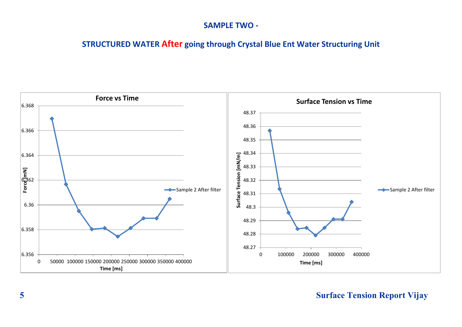#### **SAMPLE TWO -**

**STRUCTURED WATER After going through Crystal Blue Ent Water Structuring Unit**



# **5 Surface Tension Report Vijay**